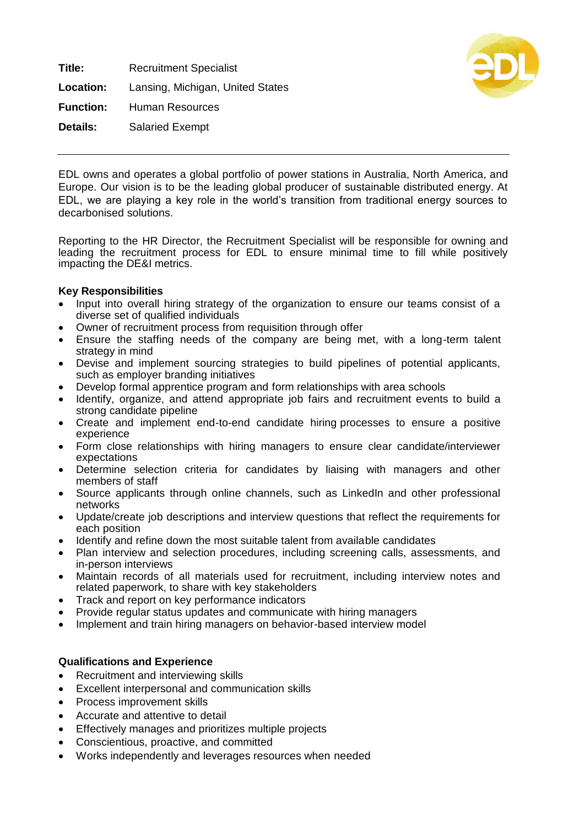**Title:** Recruitment Specialist **Location:** Lansing, Michigan, United States **Function:** Human Resources **Details:** Salaried Exempt



EDL owns and operates a global portfolio of power stations in Australia, North America, and Europe. Our vision is to be the leading global producer of sustainable distributed energy. At EDL, we are playing a key role in the world's transition from traditional energy sources to decarbonised solutions.

Reporting to the HR Director, the Recruitment Specialist will be responsible for owning and leading the recruitment process for EDL to ensure minimal time to fill while positively impacting the DE&I metrics.

## **Key Responsibilities**

- Input into overall hiring strategy of the organization to ensure our teams consist of a diverse set of qualified individuals
- Owner of recruitment process from requisition through offer
- Ensure the staffing needs of the company are being met, with a long-term talent strategy in mind
- Devise and implement sourcing strategies to build pipelines of potential applicants, such as employer branding initiatives
- Develop formal apprentice program and form relationships with area schools
- Identify, organize, and attend appropriate job fairs and recruitment events to build a strong candidate pipeline
- Create and implement end-to-end candidate hiring processes to ensure a positive experience
- Form close relationships with hiring managers to ensure clear candidate/interviewer expectations
- Determine selection criteria for candidates by liaising with managers and other members of staff
- Source applicants through online channels, such as LinkedIn and other professional networks
- Update/create job descriptions and interview questions that reflect the requirements for each position
- Identify and refine down the most suitable talent from available candidates
- Plan interview and selection procedures, including screening calls, assessments, and in-person interviews
- Maintain records of all materials used for recruitment, including interview notes and related paperwork, to share with key stakeholders
- Track and report on key performance indicators
- Provide regular status updates and communicate with hiring managers
- Implement and train hiring managers on behavior-based interview model

## **Qualifications and Experience**

- Recruitment and interviewing skills
- Excellent interpersonal and communication skills
- Process improvement skills
- Accurate and attentive to detail
- Effectively manages and prioritizes multiple projects
- Conscientious, proactive, and committed
- Works independently and leverages resources when needed